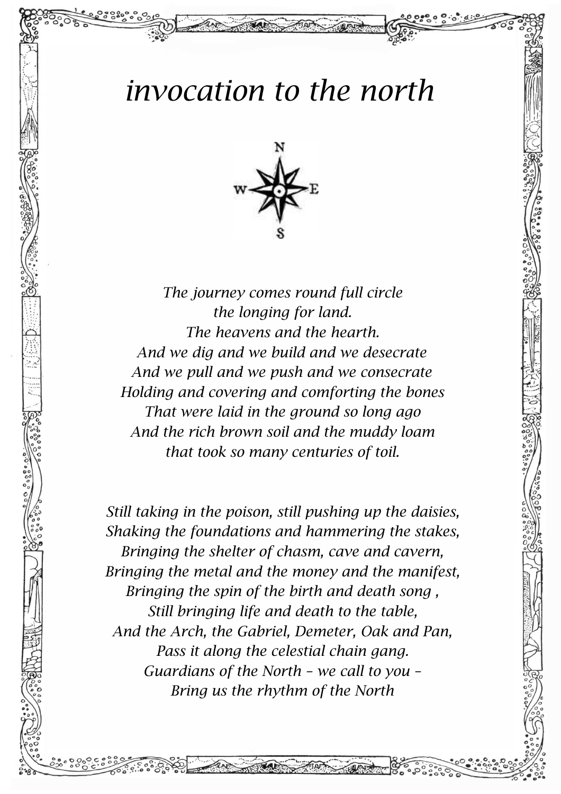## *invocation to the north*



*The journey comes round full circle the longing for land. The heavens and the hearth. And we dig and we build and we desecrate And we pull and we push and we consecrate Holding and covering and comforting the bones That were laid in the ground so long ago And the rich brown soil and the muddy loam that took so many centuries of toil.*

*Still taking in the poison, still pushing up the daisies, Shaking the foundations and hammering the stakes, Bringing the shelter of chasm, cave and cavern, Bringing the metal and the money and the manifest, Bringing the spin of the birth and death song , Still bringing life and death to the table, And the Arch, the Gabriel, Demeter, Oak and Pan, Pass it along the celestial chain gang. Guardians of the North – we call to you – Bring us the rhythm of the North*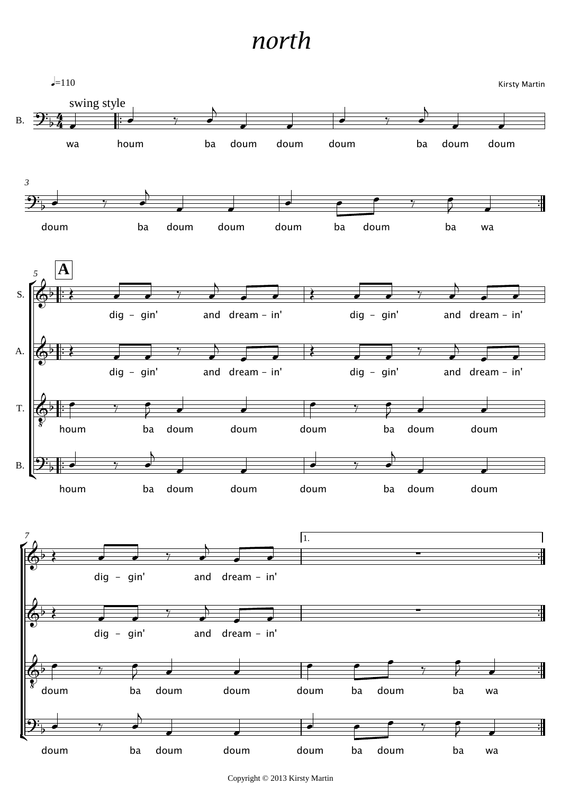## *north*

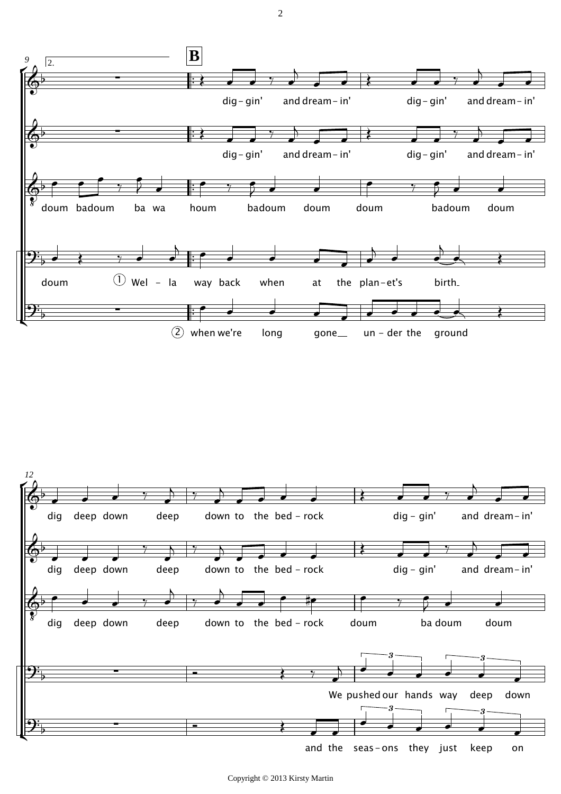

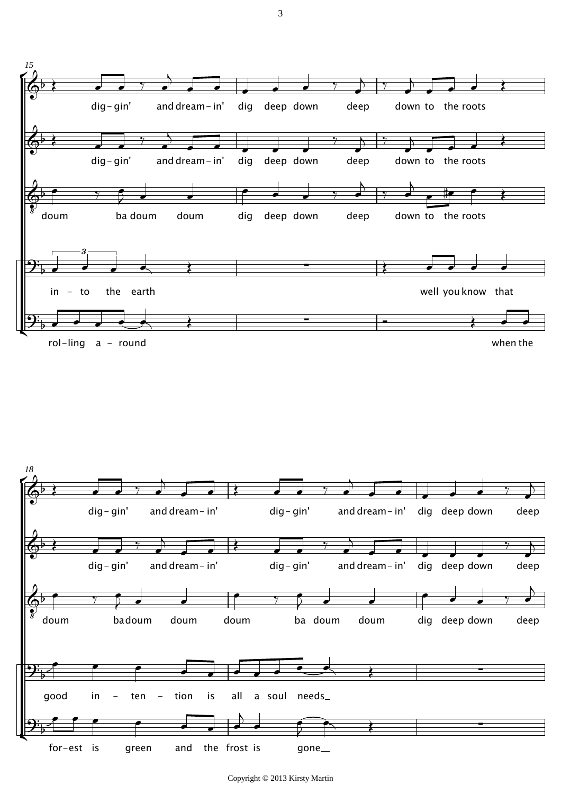



Copyright © 2013 Kirsty Martin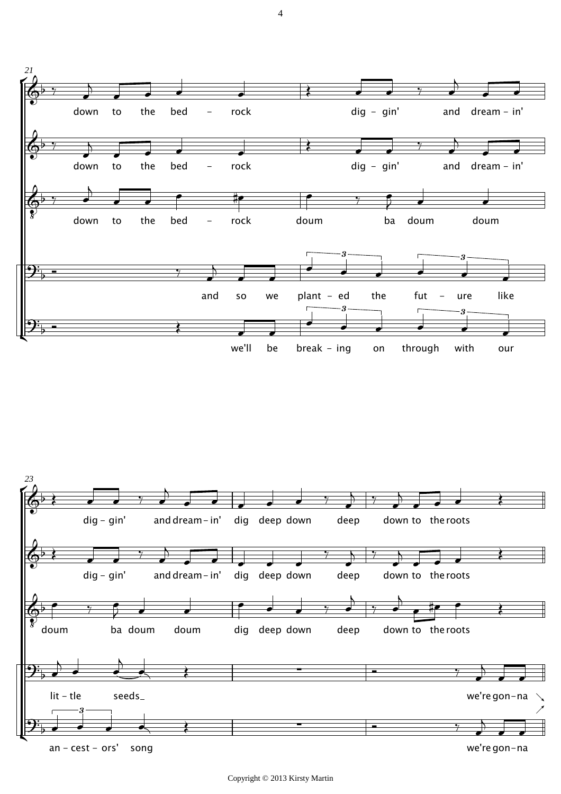

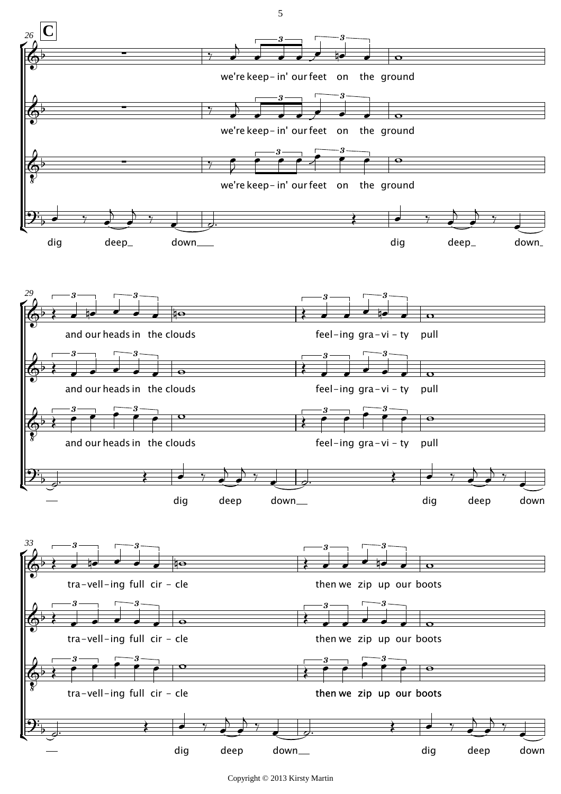

Copyright © 2013 Kirsty Martin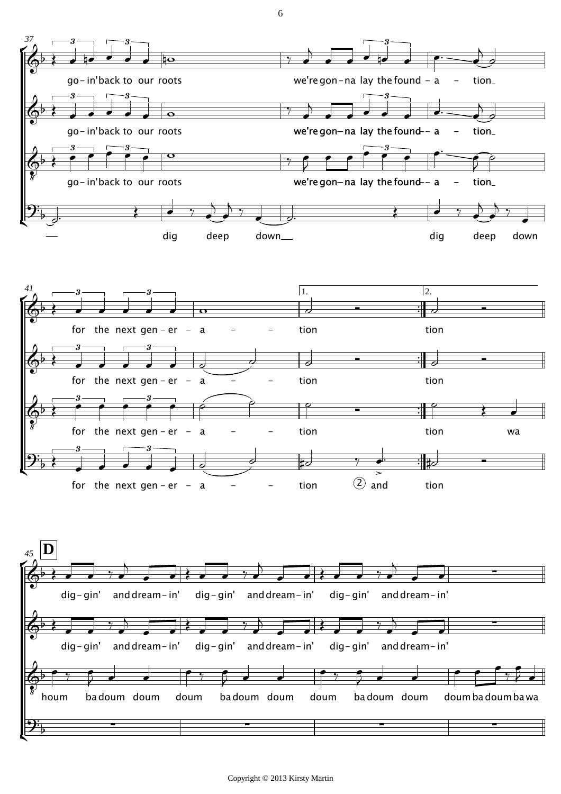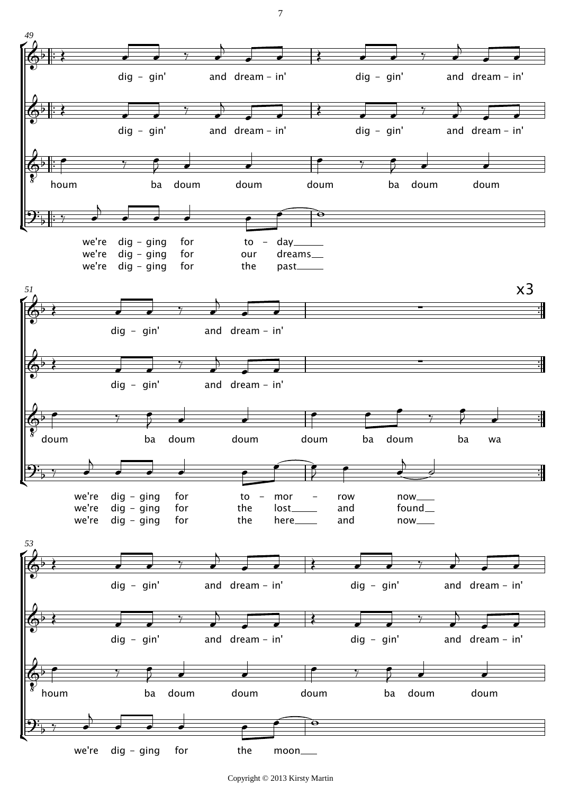

Copyright © 2013 Kirsty Martin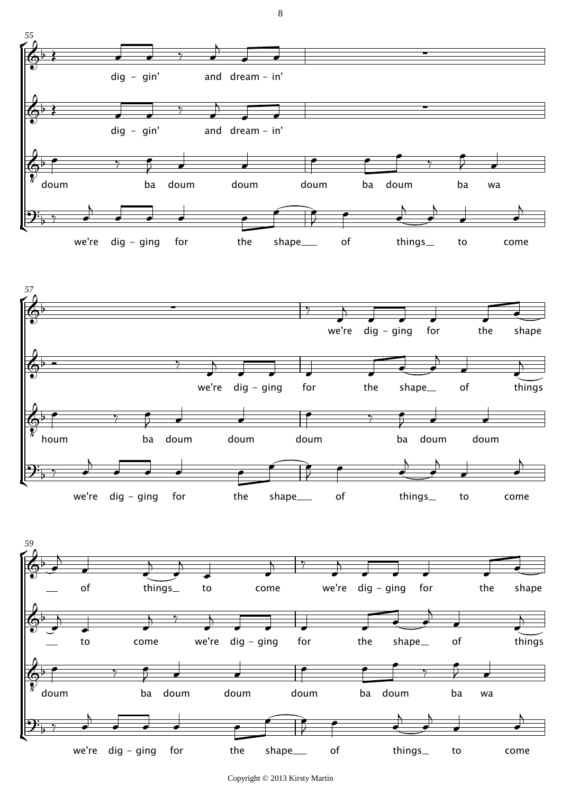

we're dig - ging for the shape of things to come

Ľ

 $\overline{2}$